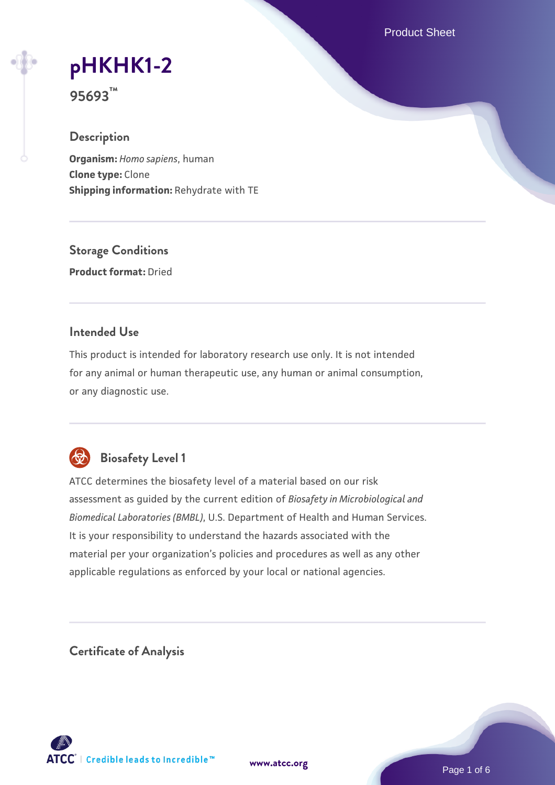Product Sheet

**[pHKHK1-2](https://www.atcc.org/products/95693)**

**95693™**

### **Description**

**Organism:** *Homo sapiens*, human **Clone type:** Clone **Shipping information:** Rehydrate with TE

**Storage Conditions Product format:** Dried

## **Intended Use**

This product is intended for laboratory research use only. It is not intended for any animal or human therapeutic use, any human or animal consumption, or any diagnostic use.



# **Biosafety Level 1**

ATCC determines the biosafety level of a material based on our risk assessment as guided by the current edition of *Biosafety in Microbiological and Biomedical Laboratories (BMBL)*, U.S. Department of Health and Human Services. It is your responsibility to understand the hazards associated with the material per your organization's policies and procedures as well as any other applicable regulations as enforced by your local or national agencies.

**Certificate of Analysis**

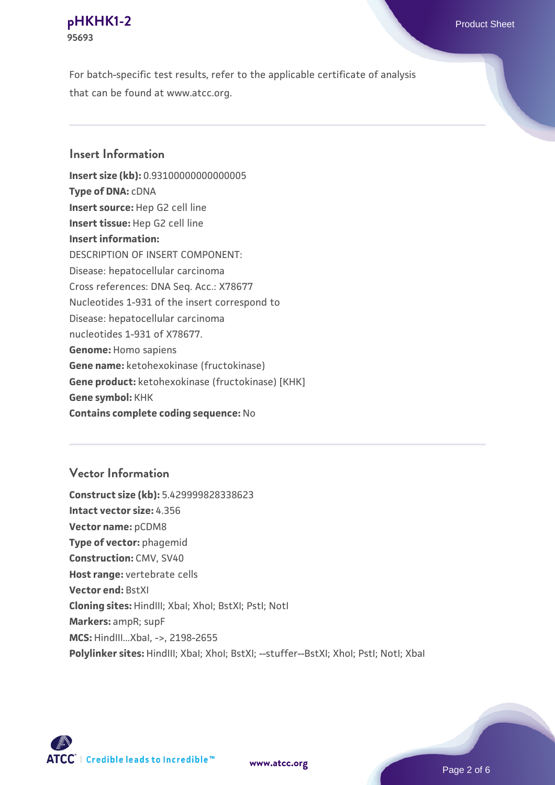#### **[pHKHK1-2](https://www.atcc.org/products/95693)** Product Sheet **95693**

For batch-specific test results, refer to the applicable certificate of analysis that can be found at www.atcc.org.

## **Insert Information**

**Insert size (kb):** 0.93100000000000005 **Type of DNA:** cDNA **Insert source:** Hep G2 cell line **Insert tissue:** Hep G2 cell line **Insert information:** DESCRIPTION OF INSERT COMPONENT: Disease: hepatocellular carcinoma Cross references: DNA Seq. Acc.: X78677 Nucleotides 1-931 of the insert correspond to Disease: hepatocellular carcinoma nucleotides 1-931 of X78677. **Genome:** Homo sapiens **Gene name:** ketohexokinase (fructokinase) **Gene product:** ketohexokinase (fructokinase) [KHK] **Gene symbol:** KHK **Contains complete coding sequence:** No

# **Vector Information**

**Construct size (kb):** 5.429999828338623 **Intact vector size:** 4.356 **Vector name:** pCDM8 **Type of vector:** phagemid **Construction:** CMV, SV40 **Host range:** vertebrate cells **Vector end:** BstXI **Cloning sites:** HindIII; XbaI; XhoI; BstXI; PstI; NotI **Markers:** ampR; supF **MCS:** HindIII...XbaI, ->, 2198-2655 Polylinker sites: HindIII; XbaI; XhoI; BstXI; --stuffer--BstXI; XhoI; PstI; NotI; XbaI

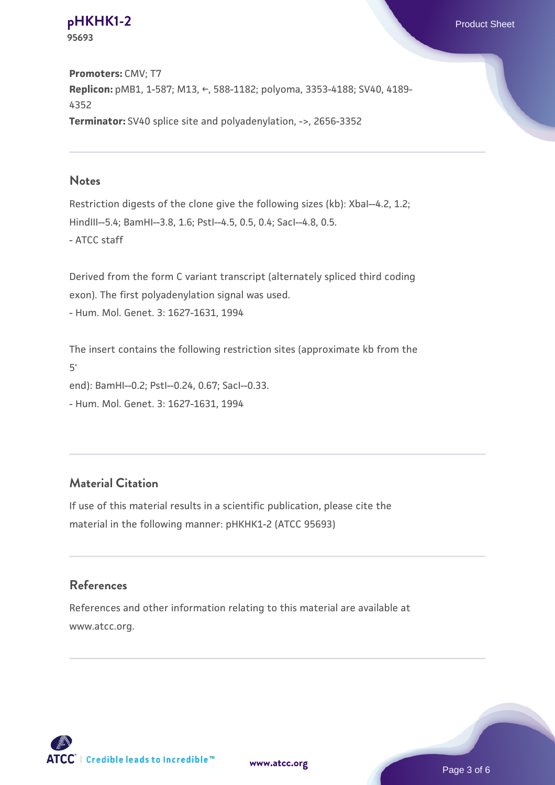**[pHKHK1-2](https://www.atcc.org/products/95693)** Product Sheet **95693**

**Promoters:** CMV; T7 **Replicon:** pMB1, 1-587; M13, ←, 588-1182; polyoma, 3353-4188; SV40, 4189- 4352 **Terminator:** SV40 splice site and polyadenylation, ->, 2656-3352

#### **Notes**

Restriction digests of the clone give the following sizes (kb): XbaI--4.2, 1.2; HindIII--5.4; BamHI--3.8, 1.6; PstI--4.5, 0.5, 0.4; SacI--4.8, 0.5. - ATCC staff

Derived from the form C variant transcript (alternately spliced third coding exon). The first polyadenylation signal was used. - Hum. Mol. Genet. 3: 1627-1631, 1994

The insert contains the following restriction sites (approximate kb from the 5' end): BamHI--0.2; PstI--0.24, 0.67; SacI--0.33. - Hum. Mol. Genet. 3: 1627-1631, 1994

### **Material Citation**

If use of this material results in a scientific publication, please cite the material in the following manner: pHKHK1-2 (ATCC 95693)

### **References**

References and other information relating to this material are available at www.atcc.org.



**[www.atcc.org](http://www.atcc.org)**

Page 3 of 6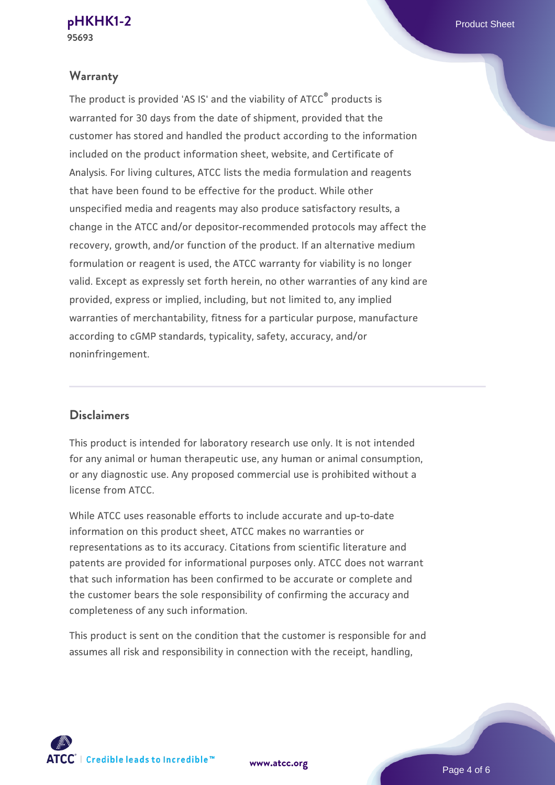### **Warranty**

The product is provided 'AS IS' and the viability of ATCC® products is warranted for 30 days from the date of shipment, provided that the customer has stored and handled the product according to the information included on the product information sheet, website, and Certificate of Analysis. For living cultures, ATCC lists the media formulation and reagents that have been found to be effective for the product. While other unspecified media and reagents may also produce satisfactory results, a change in the ATCC and/or depositor-recommended protocols may affect the recovery, growth, and/or function of the product. If an alternative medium formulation or reagent is used, the ATCC warranty for viability is no longer valid. Except as expressly set forth herein, no other warranties of any kind are provided, express or implied, including, but not limited to, any implied warranties of merchantability, fitness for a particular purpose, manufacture according to cGMP standards, typicality, safety, accuracy, and/or noninfringement.

#### **Disclaimers**

This product is intended for laboratory research use only. It is not intended for any animal or human therapeutic use, any human or animal consumption, or any diagnostic use. Any proposed commercial use is prohibited without a license from ATCC.

While ATCC uses reasonable efforts to include accurate and up-to-date information on this product sheet, ATCC makes no warranties or representations as to its accuracy. Citations from scientific literature and patents are provided for informational purposes only. ATCC does not warrant that such information has been confirmed to be accurate or complete and the customer bears the sole responsibility of confirming the accuracy and completeness of any such information.

This product is sent on the condition that the customer is responsible for and assumes all risk and responsibility in connection with the receipt, handling,



**[www.atcc.org](http://www.atcc.org)**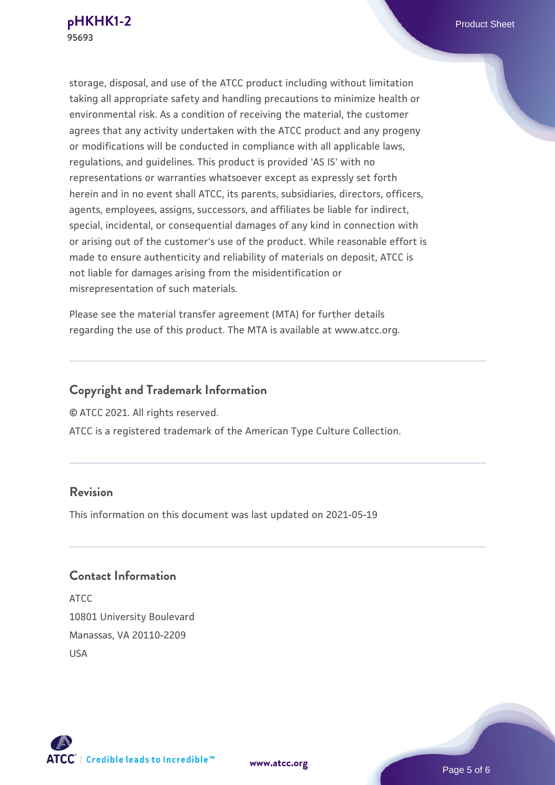storage, disposal, and use of the ATCC product including without limitation taking all appropriate safety and handling precautions to minimize health or environmental risk. As a condition of receiving the material, the customer agrees that any activity undertaken with the ATCC product and any progeny or modifications will be conducted in compliance with all applicable laws, regulations, and guidelines. This product is provided 'AS IS' with no representations or warranties whatsoever except as expressly set forth herein and in no event shall ATCC, its parents, subsidiaries, directors, officers, agents, employees, assigns, successors, and affiliates be liable for indirect, special, incidental, or consequential damages of any kind in connection with or arising out of the customer's use of the product. While reasonable effort is made to ensure authenticity and reliability of materials on deposit, ATCC is not liable for damages arising from the misidentification or misrepresentation of such materials.

Please see the material transfer agreement (MTA) for further details regarding the use of this product. The MTA is available at www.atcc.org.

# **Copyright and Trademark Information**

© ATCC 2021. All rights reserved.

ATCC is a registered trademark of the American Type Culture Collection.

### **Revision**

This information on this document was last updated on 2021-05-19

# **Contact Information**

ATCC 10801 University Boulevard Manassas, VA 20110-2209 USA